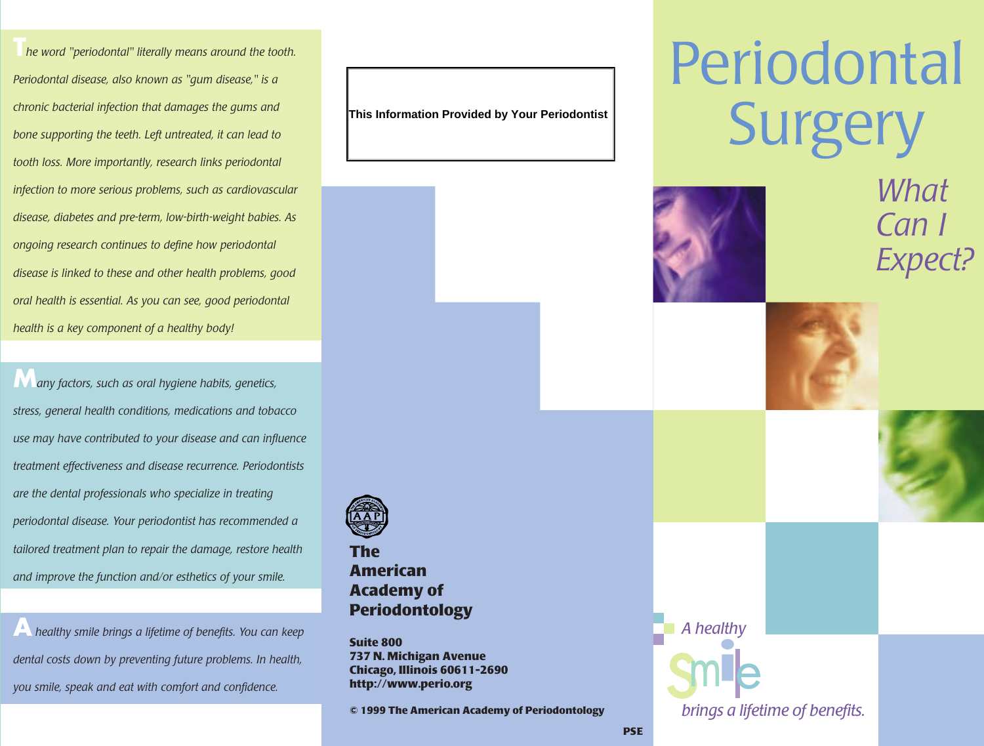**T***he word "periodontal" literally means around the tooth. Periodontal disease, also known as "gum disease," is a chronic bacterial infection that damages the gums and bone supporting the teeth. Left untreated, it can lead to tooth loss. More importantly, research links periodontal infection to more serious problems, such as cardiovascular disease, diabetes and pre-term, low-birth-weight babies. As ongoing research continues to define how periodontal disease is linked to these and other health problems, good oral health is essential. As you can see, good periodontal health is a key component of a healthy body!*

**M***any factors, such as oral hygiene habits, genetics, stress, general health conditions, medications and tobacco use may have contributed to your disease and can influence treatment effectiveness and disease recurrence. Periodontists are the dental professionals who specialize in treating periodontal disease. Your periodontist has recommended a tailored treatment plan to repair the damage, restore health and improve the function and/or esthetics of your smile.* 

**A** *healthy smile brings a lifetime of benefits. You can keep dental costs down by preventing future problems. In health, you smile, speak and eat with comfort and confidence.* 

**This Information Provided by Your Periodontist**

## Periodontal **Surgery**



### *What Can I Expect?*







**The American Academy of Periodontology**

**Suite 800 737 N. Michigan Avenue Chicago, Illinois 60611-2690 http://www.perio.org**

**© 1999 The American Academy of Periodontology**

*A healthy brings a lifetime of benefits.*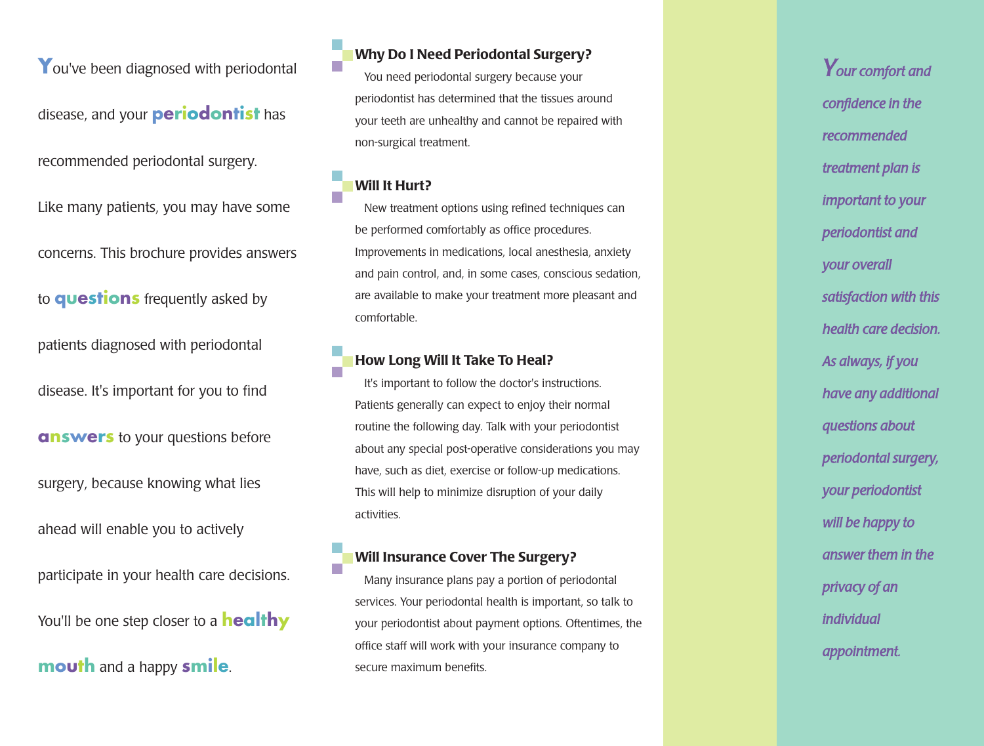You've been diagnosed with periodontal

disease, and your **periodontist** has

recommended periodontal surgery.

Like many patients, you may have some

concerns. This brochure provides answers

**to questions** frequently asked by

patients diagnosed with periodontal

disease. It's important for you to find

**answers** to your questions before

surgery, because knowing what lies

ahead will enable you to actively

participate in your health care decisions. **Y**ou'll be one step closer to a **healthy** 

**mouth** and a happy smile.

**Why Do I Need Periodontal Surgery?**

You need periodontal surgery because your periodontist has determined that the tissues around your teeth are unhealthy and cannot be repaired with non-surgical treatment.

#### **Will It Hurt?**

r.

New treatment options using refined techniques can be performed comfortably as office procedures. Improvements in medications, local anesthesia, anxiety and pain control, and, in some cases, conscious sedation, are available to make your treatment more pleasant and comfortable.

#### **How Long Will It Take To Heal?**

It's important to follow the doctor's instructions. Patients generally can expect to enjoy their normal routine the following day. Talk with your periodontist about any special post-operative considerations you may have, such as diet, exercise or follow-up medications. This will help to minimize disruption of your daily activities.

#### **Will Insurance Cover The Surgery?**

Many insurance plans pay a portion of periodontal services. Your periodontal health is important, so talk to your periodontist about payment options. Oftentimes, the office staff will work with your insurance company to secure maximum benefits.

*Your comfort and confidence in the recommended treatment plan is important to your periodontist and your overall satisfaction with this health care decision. As always, if you have any additional questions about periodontal surgery, your periodontist will be happy to answer them in the privacy of an individual appointment.*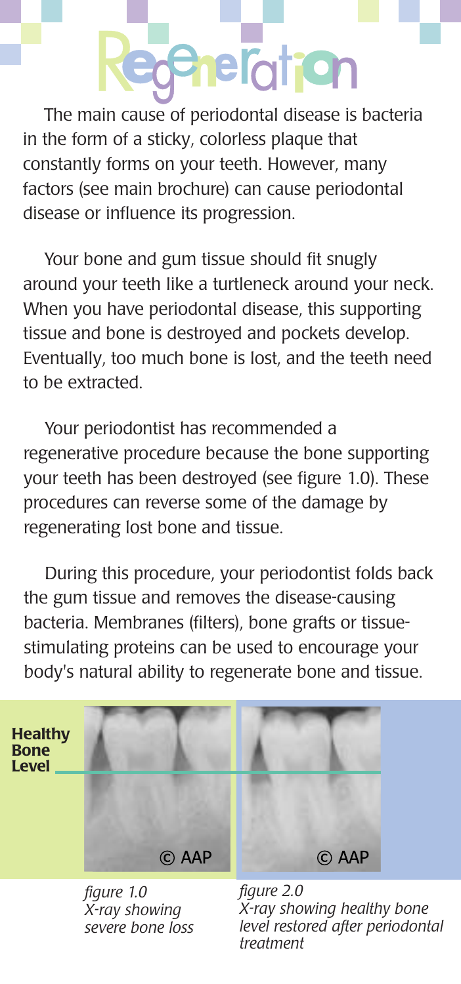### **achefotion**

The main cause of periodontal disease is bacteria in the form of a sticky, colorless plaque that constantly forms on your teeth. However, many factors (see main brochure) can cause periodontal disease or influence its progression.

Your bone and gum tissue should fit snugly around your teeth like a turtleneck around your neck. When you have periodontal disease, this supporting tissue and bone is destroyed and pockets develop. Eventually, too much bone is lost, and the teeth need to be extracted.

Your periodontist has recommended a regenerative procedure because the bone supporting your teeth has been destroyed (see figure 1.0). These procedures can reverse some of the damage by regenerating lost bone and tissue.

During this procedure, your periodontist folds back the gum tissue and removes the disease-causing bacteria. Membranes (filters), bone grafts or tissuestimulating proteins can be used to encourage your body's natural ability to regenerate bone and tissue.



*figure 1.0 X-ray showing severe bone loss*

*figure 2.0 X-ray showing healthy bone level restored after periodontal treatment*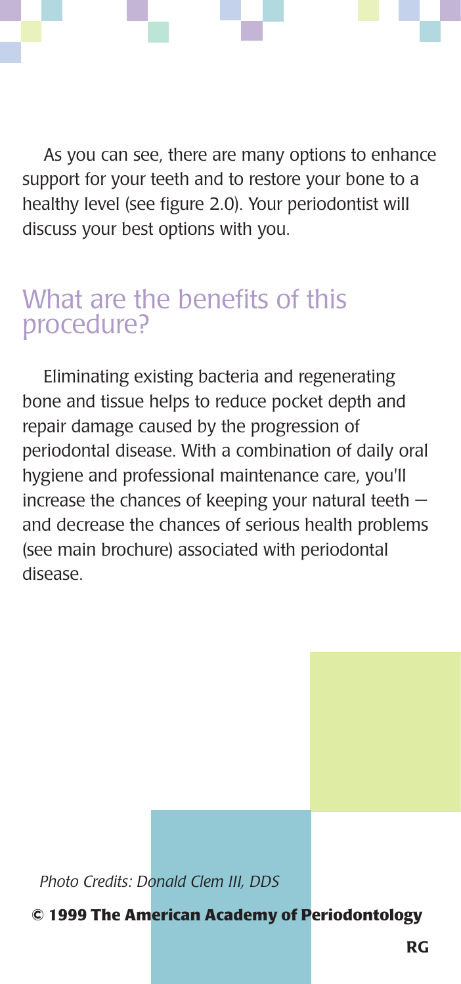As you can see, there are many options to enhance support for your teeth and to restore your bone to a healthy level (see figure 2.0). Your periodontist will discuss your best options with you.

#### What are the benefits of this procedure?

Eliminating existing bacteria and regenerating bone and tissue helps to reduce pocket depth and repair damage caused by the progression of periodontal disease. With a combination of daily oral hygiene and professional maintenance care, you'll increase the chances of keeping your natural teeth and decrease the chances of serious health problems (see main brochure) associated with periodontal disease.

*Photo Credits: Donald Clem III, DDS*

**© 1999 The American Academy of Periodontology**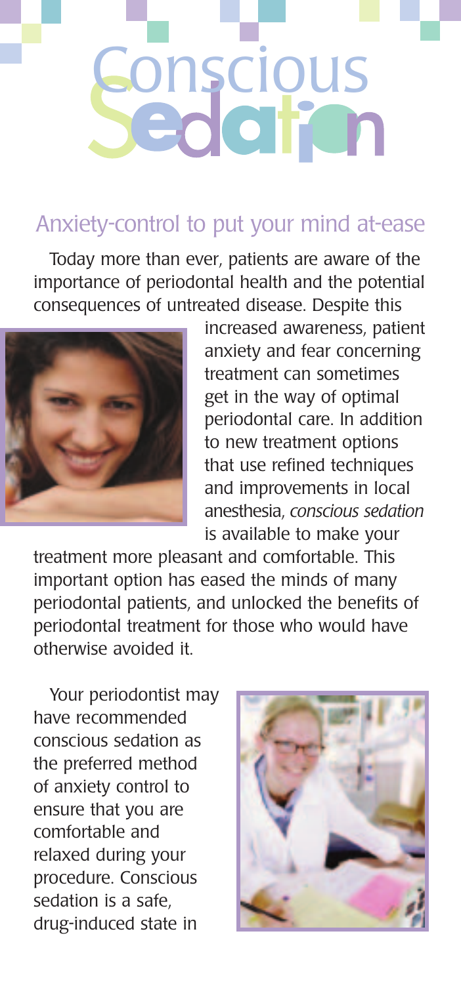

#### Anxiety-control to put your mind at-ease

Today more than ever, patients are aware of the importance of periodontal health and the potential consequences of untreated disease. Despite this



increased awareness, patient anxiety and fear concerning treatment can sometimes get in the way of optimal periodontal care. In addition to new treatment options that use refined techniques and improvements in local anesthesia, *conscious sedation* is available to make your

treatment more pleasant and comfortable. This important option has eased the minds of many periodontal patients, and unlocked the benefits of periodontal treatment for those who would have otherwise avoided it.

Your periodontist may have recommended conscious sedation as the preferred method of anxiety control to ensure that you are comfortable and relaxed during your procedure. Conscious sedation is a safe, drug-induced state in

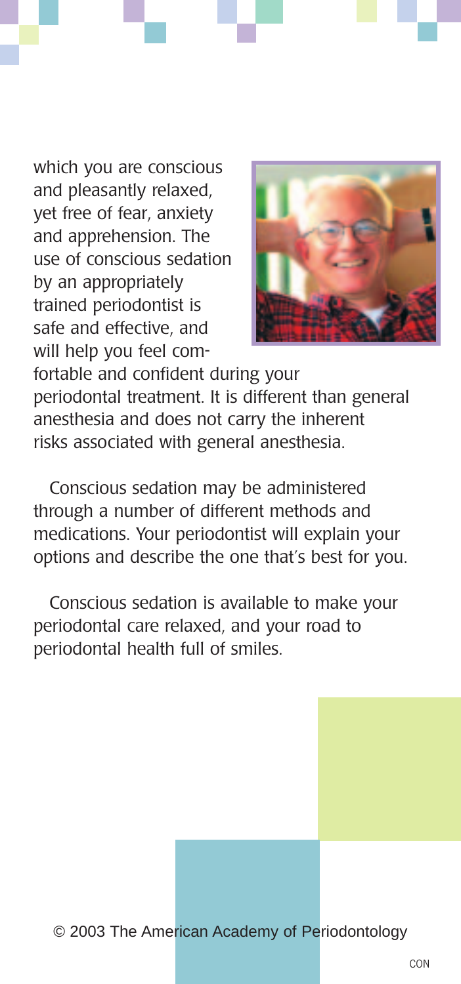which you are conscious and pleasantly relaxed, yet free of fear, anxiety and apprehension. The use of conscious sedation by an appropriately trained periodontist is safe and effective, and will help you feel com-



fortable and confident during your periodontal treatment. It is different than general anesthesia and does not carry the inherent risks associated with general anesthesia.

Conscious sedation may be administered through a number of different methods and medications. Your periodontist will explain your options and describe the one that's best for you.

Conscious sedation is available to make your periodontal care relaxed, and your road to periodontal health full of smiles.

© 2003 The American Academy of Periodontology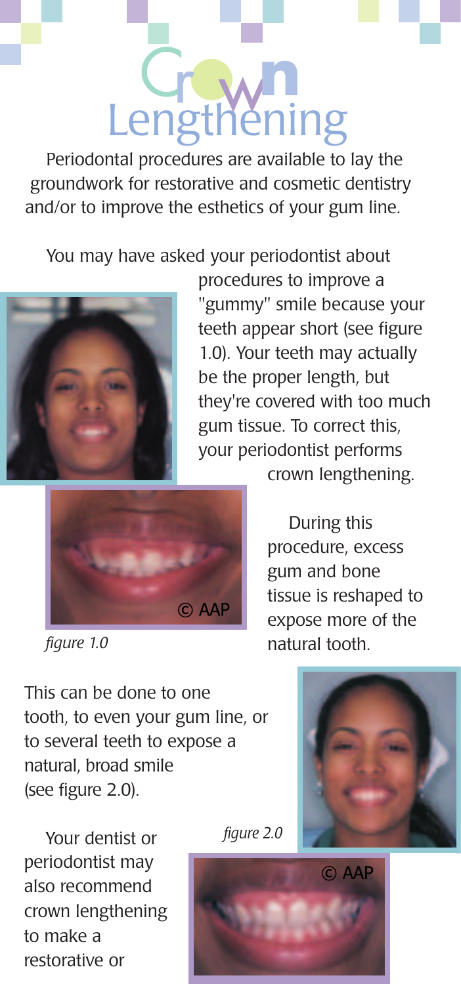### Lengthening

Periodontal procedures are available to lay the groundwork for restorative and cosmetic dentistry and/or to improve the esthetics of your gum line.

You may have asked your periodontist about



procedures to improve a "gummy" smile because your teeth appear short (see figure 1.0). Your teeth may actually be the proper length, but they're covered with too much gum tissue. To correct this, your periodontist performs



 *figure 1.0*

crown lengthening.

During this procedure, excess gum and bone tissue is reshaped to expose more of the natural tooth.

This can be done to one tooth, to even your gum line, or to several teeth to expose a natural, broad smile (see figure 2.0).



Your dentist or periodontist may also recommend crown lengthening to make a restorative or



 *figure 2.0*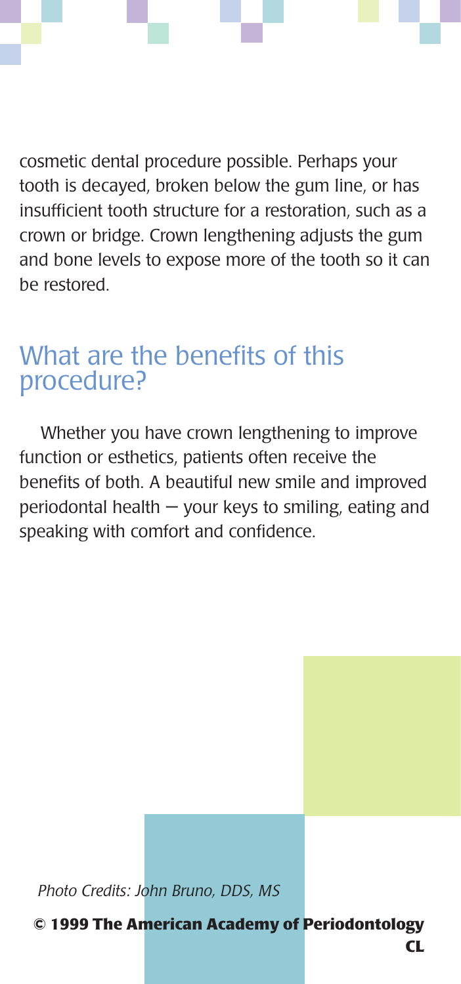cosmetic dental procedure possible. Perhaps your tooth is decayed, broken below the gum line, or has insufficient tooth structure for a restoration, such as a crown or bridge. Crown lengthening adjusts the gum and bone levels to expose more of the tooth so it can be restored.

#### What are the benefits of this procedure?

Whether you have crown lengthening to improve function or esthetics, patients often receive the benefits of both. A beautiful new smile and improved periodontal health — your keys to smiling, eating and speaking with comfort and confidence.

*Photo Credits: John Bruno, DDS, MS*

**© 1999 The American Academy of Periodontology**

**CL**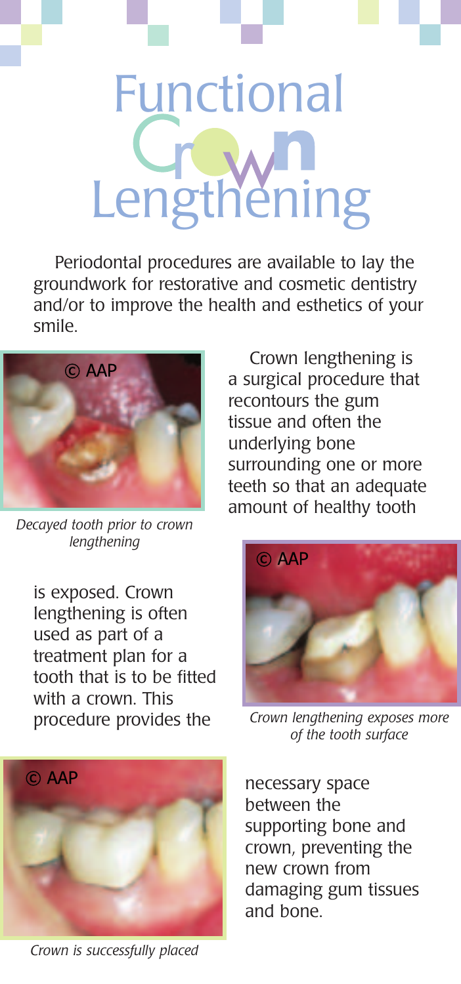### Lengthening Functional

Periodontal procedures are available to lay the groundwork for restorative and cosmetic dentistry and/or to improve the health and esthetics of your smile.



*Decayed tooth prior to crown lengthening*

is exposed. Crown lengthening is often used as part of a treatment plan for a tooth that is to be fitted with a crown. This procedure provides the



*Crown is successfully placed*

Crown lengthening is a surgical procedure that recontours the gum tissue and often the underlying bone surrounding one or more teeth so that an adequate amount of healthy tooth



*Crown lengthening exposes more of the tooth surface*

necessary space between the supporting bone and crown, preventing the new crown from damaging gum tissues and bone.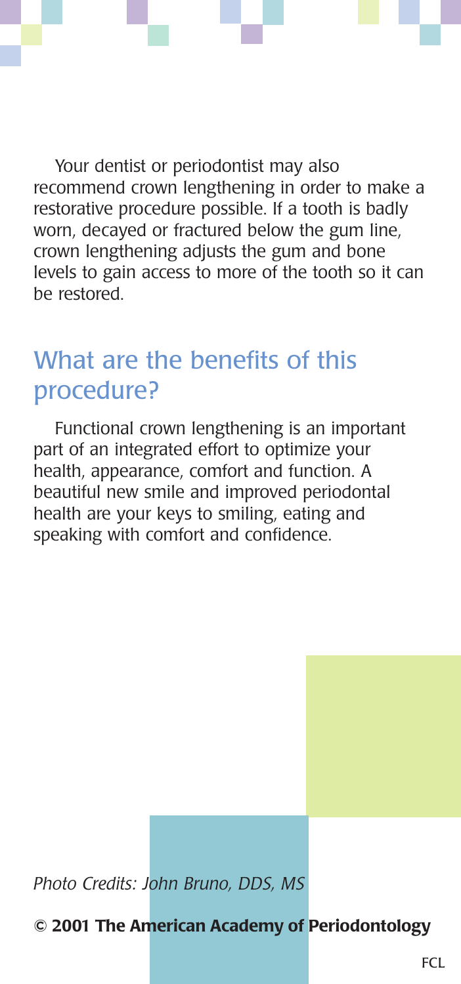Your dentist or periodontist may also recommend crown lengthening in order to make a restorative procedure possible. If a tooth is badly worn, decayed or fractured below the gum line, crown lengthening adjusts the gum and bone levels to gain access to more of the tooth so it can be restored.

#### What are the benefits of this procedure?

Functional crown lengthening is an important part of an integrated effort to optimize your health, appearance, comfort and function. A beautiful new smile and improved periodontal health are your keys to smiling, eating and speaking with comfort and confidence.

*Photo Credits: John Bruno, DDS, MS*

**© 2001 The American Academy of Periodontology**

FCL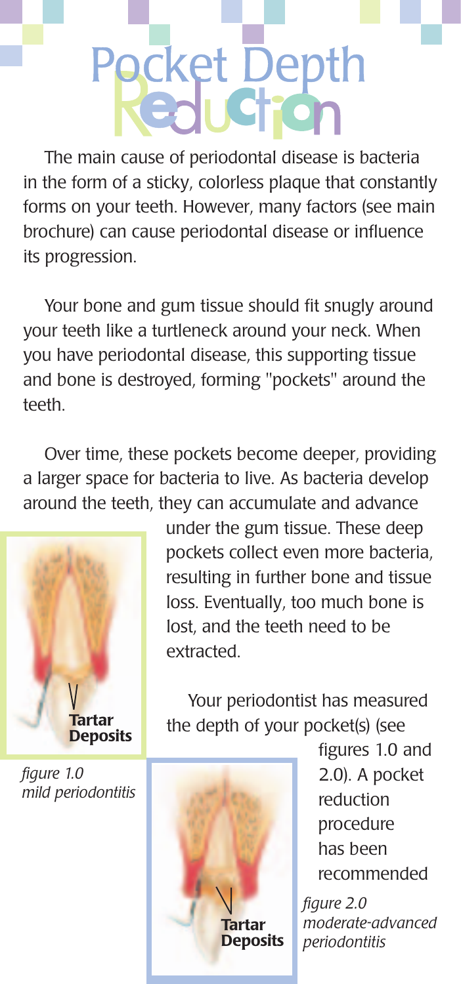## Pocket Depth

The main cause of periodontal disease is bacteria in the form of a sticky, colorless plaque that constantly forms on your teeth. However, many factors (see main brochure) can cause periodontal disease or influence its progression.

Your bone and gum tissue should fit snugly around your teeth like a turtleneck around your neck. When you have periodontal disease, this supporting tissue and bone is destroyed, forming "pockets" around the teeth.

Over time, these pockets become deeper, providing a larger space for bacteria to live. As bacteria develop around the teeth, they can accumulate and advance



*figure 1.0 mild periodontitis*

under the gum tissue. These deep pockets collect even more bacteria, resulting in further bone and tissue loss. Eventually, too much bone is lost, and the teeth need to be extracted.

Your periodontist has measured the depth of your pocket(s) (see



figures 1.0 and 2.0). A pocket reduction procedure has been recommended

*figure 2.0 moderate-advanced periodontitis*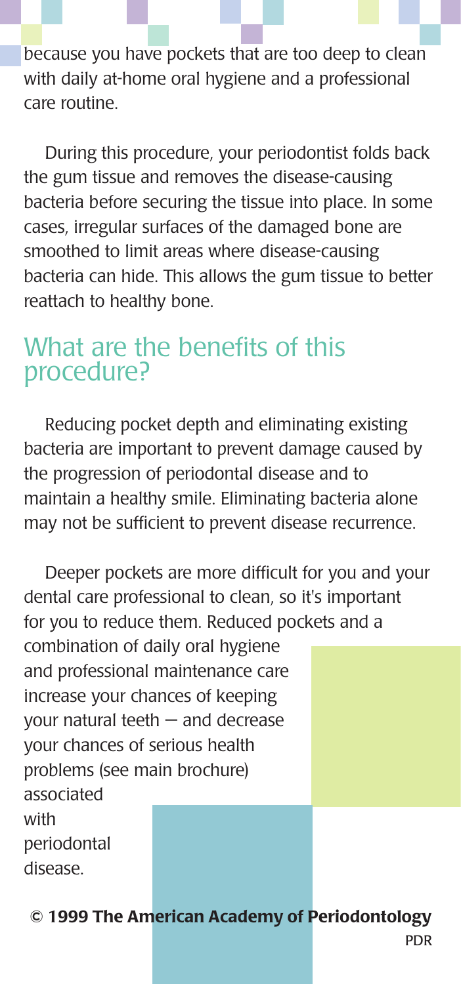because you have pockets that are too deep to clean with daily at-home oral hygiene and a professional care routine.

During this procedure, your periodontist folds back the gum tissue and removes the disease-causing bacteria before securing the tissue into place. In some cases, irregular surfaces of the damaged bone are smoothed to limit areas where disease-causing bacteria can hide. This allows the gum tissue to better reattach to healthy bone.

#### What are the benefits of this procedure?

Reducing pocket depth and eliminating existing bacteria are important to prevent damage caused by the progression of periodontal disease and to maintain a healthy smile. Eliminating bacteria alone may not be sufficient to prevent disease recurrence.

Deeper pockets are more difficult for you and your dental care professional to clean, so it's important for you to reduce them. Reduced pockets and a combination of daily oral hygiene and professional maintenance care increase your chances of keeping your natural teeth — and decrease your chances of serious health problems (see main brochure) associated with periodontal disease.

**© 1999 The American Academy of Periodontology**

PDR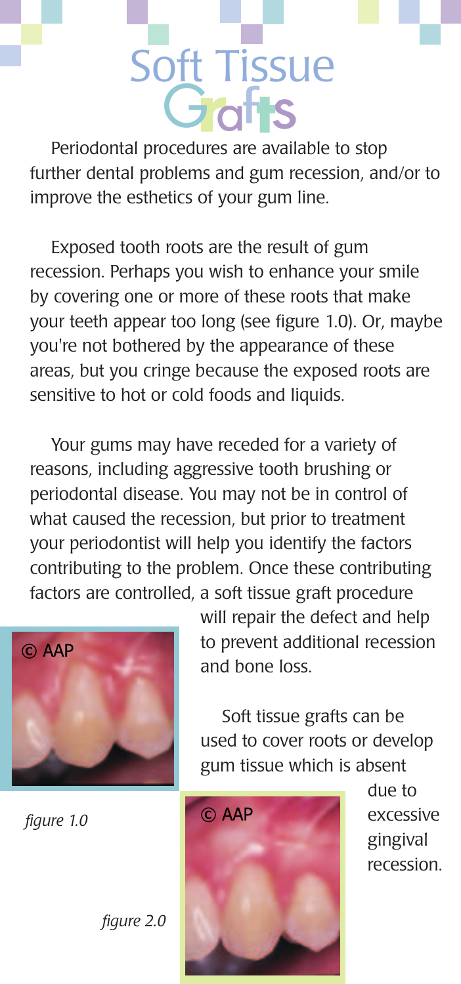## Soft Tissue

Periodontal procedures are available to stop further dental problems and gum recession, and/or to improve the esthetics of your gum line.

Exposed tooth roots are the result of gum recession. Perhaps you wish to enhance your smile by covering one or more of these roots that make your teeth appear too long (see figure 1.0). Or, maybe you're not bothered by the appearance of these areas, but you cringe because the exposed roots are sensitive to hot or cold foods and liquids.

Your gums may have receded for a variety of reasons, including aggressive tooth brushing or periodontal disease. You may not be in control of what caused the recession, but prior to treatment your periodontist will help you identify the factors contributing to the problem. Once these contributing factors are controlled, a soft tissue graft procedure



 *figure 1.0*

 *figure 2.0*

will repair the defect and help to prevent additional recession and bone loss.

Soft tissue grafts can be used to cover roots or develop gum tissue which is absent



due to excessive gingival recession.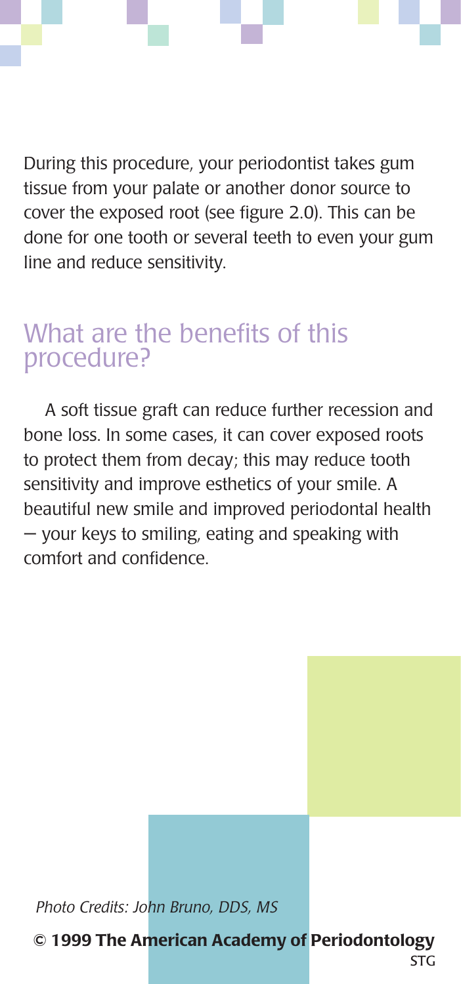During this procedure, your periodontist takes gum tissue from your palate or another donor source to cover the exposed root (see figure 2.0). This can be done for one tooth or several teeth to even your gum line and reduce sensitivity.

#### What are the benefits of this procedure?

A soft tissue graft can reduce further recession and bone loss. In some cases, it can cover exposed roots to protect them from decay; this may reduce tooth sensitivity and improve esthetics of your smile. A beautiful new smile and improved periodontal health — your keys to smiling, eating and speaking with comfort and confidence.

*Photo Credits: John Bruno, DDS, MS*

**© 1999 The American Academy of Periodontology**

ST<sub>G</sub>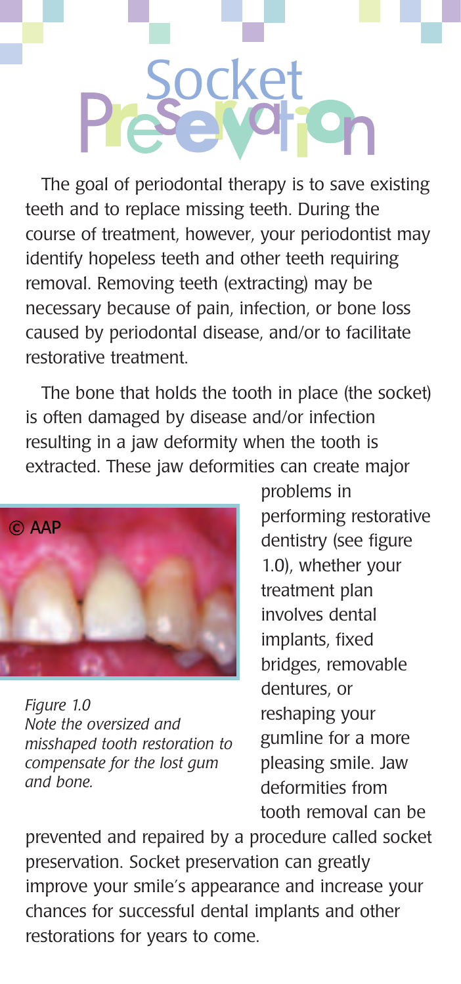# ocket

The goal of periodontal therapy is to save existing teeth and to replace missing teeth. During the course of treatment, however, your periodontist may identify hopeless teeth and other teeth requiring removal. Removing teeth (extracting) may be necessary because of pain, infection, or bone loss caused by periodontal disease, and/or to facilitate restorative treatment.

The bone that holds the tooth in place (the socket) is often damaged by disease and/or infection resulting in a jaw deformity when the tooth is extracted. These jaw deformities can create major



*Figure 1.0 Note the oversized and misshaped tooth restoration to compensate for the lost gum and bone.*

problems in performing restorative dentistry (see figure 1.0), whether your treatment plan involves dental implants, fixed bridges, removable dentures, or reshaping your gumline for a more pleasing smile. Jaw deformities from tooth removal can be

prevented and repaired by a procedure called socket preservation. Socket preservation can greatly improve your smile's appearance and increase your chances for successful dental implants and other restorations for years to come.